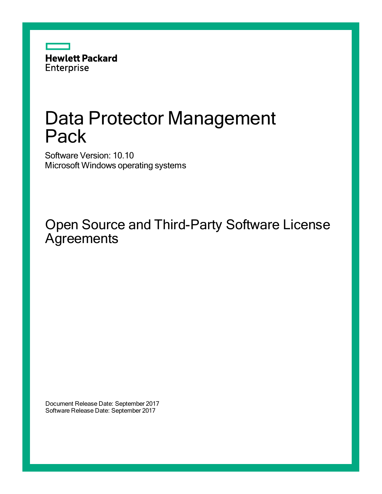

# Data Protector Management Pack

Software Version: 10.10 Microsoft Windows operating systems

Open Source and Third-Party Software License **Agreements** 

Document Release Date: September 2017 Software Release Date: September 2017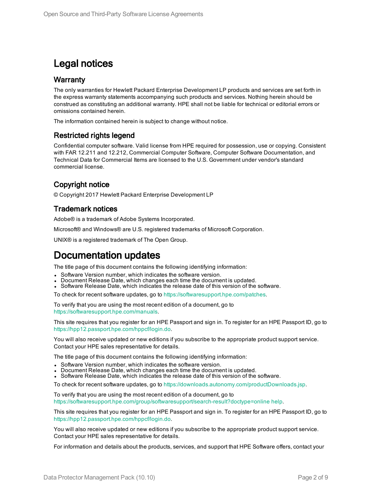### Legal notices

### **Warranty**

The only warranties for Hewlett Packard Enterprise Development LP products and services are set forth in the express warranty statements accompanying such products and services. Nothing herein should be construed as constituting an additional warranty. HPE shall not be liable for technical or editorial errors or omissions contained herein.

The information contained herein is subject to change without notice.

### Restricted rights legend

Confidential computer software. Valid license from HPE required for possession, use or copying. Consistent with FAR 12.211 and 12.212, Commercial Computer Software, Computer Software Documentation, and Technical Data for Commercial Items are licensed to the U.S. Government under vendor's standard commercial license.

### Copyright notice

© Copyright 2017 Hewlett Packard Enterprise Development LP

### Trademark notices

Adobe® is a trademark of Adobe Systems Incorporated.

Microsoft® and Windows® are U.S. registered trademarks of Microsoft Corporation.

UNIX® is a registered trademark of The Open Group.

### Documentation updates

The title page of this document contains the following identifying information:

- Software Version number, which indicates the software version.
- Document Release Date, which changes each time the document is updated.
- Software Release Date, which indicates the release date of this version of the software.
- To check for recent software updates, go to <https://softwaresupport.hpe.com/patches>.

To verify that you are using the most recent edition of a document, go to [https://softwaresupport.hpe.com/manuals.](https://softwaresupport.hpe.com/manuals)

This site requires that you register for an HPE Passport and sign in. To register for an HPE Passport ID, go to [https://hpp12.passport.hpe.com/hppcf/login.do.](https://hpp12.passport.hpe.com/hppcf/login.do)

You will also receive updated or new editions if you subscribe to the appropriate product support service. Contact your HPE sales representative for details.

The title page of this document contains the following identifying information:

- Software Version number, which indicates the software version.
- Document Release Date, which changes each time the document is updated.
- Software Release Date, which indicates the release date of this version of the software.

To check for recent software updates, go to [https://downloads.autonomy.com/productDownloads.jsp.](https://downloads.autonomy.com/productDownloads.jsp)

To verify that you are using the most recent edition of a document, go to [https://softwaresupport.hpe.com/group/softwaresupport/search-result?doctype=online](https://softwaresupport.hpe.com/group/softwaresupport/search-result?doctype=online help) help.

This site requires that you register for an HPE Passport and sign in. To register for an HPE Passport ID, go to [https://hpp12.passport.hpe.com/hppcf/login.do.](https://hpp12.passport.hpe.com/hppcf/login.do)

You will also receive updated or new editions if you subscribe to the appropriate product support service. Contact your HPE sales representative for details.

For information and details about the products, services, and support that HPE Software offers, contact your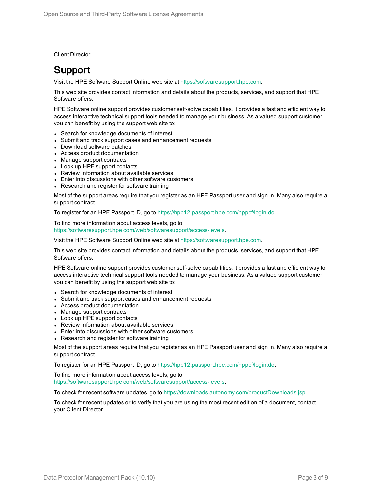Client Director.

### Support

Visit the HPE Software Support Online web site at [https://softwaresupport.hpe.com](https://softwaresupport.hpe.com/).

This web site provides contact information and details about the products, services, and support that HPE Software offers.

HPE Software online support provides customer self-solve capabilities. It provides a fast and efficient way to access interactive technical support tools needed to manage your business. As a valued support customer, you can benefit by using the support web site to:

- Search for knowledge documents of interest
- Submit and track support cases and enhancement requests
- Download software patches
- Access product documentation
- Manage support contracts
- Look up HPE support contacts
- Review information about available services
- Enter into discussions with other software customers
- Research and register for software training

Most of the support areas require that you register as an HPE Passport user and sign in. Many also require a support contract.

To register for an HPE Passport ID, go to <https://hpp12.passport.hpe.com/hppcf/login.do>.

To find more information about access levels, go to <https://softwaresupport.hpe.com/web/softwaresupport/access-levels>.

Visit the HPE Software Support Online web site at [https://softwaresupport.hpe.com](https://softwaresupport.hpe.com/).

This web site provides contact information and details about the products, services, and support that HPE Software offers.

HPE Software online support provides customer self-solve capabilities. It provides a fast and efficient way to access interactive technical support tools needed to manage your business. As a valued support customer, you can benefit by using the support web site to:

- Search for knowledge documents of interest
- Submit and track support cases and enhancement requests
- Access product documentation
- Manage support contracts
- Look up HPE support contacts
- Review information about available services
- Enter into discussions with other software customers
- Research and register for software training

Most of the support areas require that you register as an HPE Passport user and sign in. Many also require a support contract.

To register for an HPE Passport ID, go to <https://hpp12.passport.hpe.com/hppcf/login.do>.

To find more information about access levels, go to <https://softwaresupport.hpe.com/web/softwaresupport/access-levels>.

To check for recent software updates, go to [https://downloads.autonomy.com/productDownloads.jsp.](https://downloads.autonomy.com/productDownloads.jsp)

To check for recent updates or to verify that you are using the most recent edition of a document, contact your Client Director.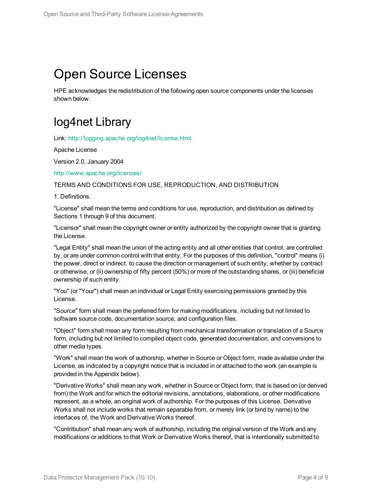## Open Source Licenses

HPE acknowledges the redistribution of the following open source components under the licenses shown below.

## log4net Library

Link: <http://logging.apache.org/log4net/license.html>

Apache License

Version 2.0, January 2004

<http://www.apache.org/licenses/>

TERMS AND CONDITIONS FOR USE, REPRODUCTION, AND DISTRIBUTION

1. Definitions.

"License" shall mean the terms and conditions for use, reproduction, and distribution as defined by Sections 1 through 9 of this document.

"Licensor" shall mean the copyright owner or entity authorized by the copyright owner that is granting the License.

"Legal Entity" shall mean the union of the acting entity and all other entities that control, are controlled by, or are under common control with that entity. For the purposes of this definition, "control" means (i) the power, direct or indirect, to cause the direction or management of such entity, whether by contract or otherwise, or (ii) ownership of fifty percent (50%) or more of the outstanding shares, or (iii) beneficial ownership of such entity.

"You" (or "Your") shall mean an individual or Legal Entity exercising permissions granted by this License.

"Source" form shall mean the preferred form for making modifications, including but not limited to software source code, documentation source, and configuration files.

"Object" form shall mean any form resulting from mechanical transformation or translation of a Source form, including but not limited to compiled object code, generated documentation, and conversions to other media types.

"Work" shall mean the work of authorship, whether in Source or Object form, made available under the License, as indicated by a copyright notice that is included in or attached to the work (an example is provided in the Appendix below).

"Derivative Works" shall mean any work, whether in Source or Object form, that is based on (or derived from) the Work and for which the editorial revisions, annotations, elaborations, or other modifications represent, as a whole, an original work of authorship. For the purposes of this License, Derivative Works shall not include works that remain separable from, or merely link (or bind by name) to the interfaces of, the Work and Derivative Works thereof.

"Contribution" shall mean any work of authorship, including the original version of the Work and any modifications or additions to that Work or Derivative Works thereof, that is intentionally submitted to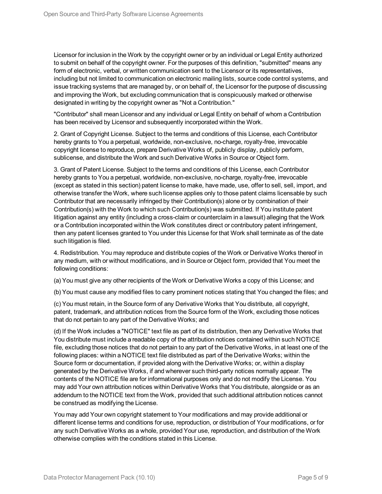Licensor for inclusion in the Work by the copyright owner or by an individual or Legal Entity authorized to submit on behalf of the copyright owner. For the purposes of this definition, "submitted" means any form of electronic, verbal, or written communication sent to the Licensor or its representatives, including but not limited to communication on electronic mailing lists, source code control systems, and issue tracking systems that are managed by, or on behalf of, the Licensor for the purpose of discussing and improving the Work, but excluding communication that is conspicuously marked or otherwise designated in writing by the copyright owner as "Not a Contribution."

"Contributor" shall mean Licensor and any individual or Legal Entity on behalf of whom a Contribution has been received by Licensor and subsequently incorporated within the Work.

2. Grant of Copyright License. Subject to the terms and conditions of this License, each Contributor hereby grants to You a perpetual, worldwide, non-exclusive, no-charge, royalty-free, irrevocable copyright license to reproduce, prepare Derivative Works of, publicly display, publicly perform, sublicense, and distribute the Work and such Derivative Works in Source or Object form.

3. Grant of Patent License. Subject to the terms and conditions of this License, each Contributor hereby grants to You a perpetual, worldwide, non-exclusive, no-charge, royalty-free, irrevocable (except as stated in this section) patent license to make, have made, use, offer to sell, sell, import, and otherwise transfer the Work, where such license applies only to those patent claims licensable by such Contributor that are necessarily infringed by their Contribution(s) alone or by combination of their Contribution(s) with the Work to which such Contribution(s) was submitted. If You institute patent litigation against any entity (including a cross-claim or counterclaim in a lawsuit) alleging that the Work or a Contribution incorporated within the Work constitutes direct or contributory patent infringement, then any patent licenses granted to You under this License for that Work shall terminate as of the date such litigation is filed.

4. Redistribution. You may reproduce and distribute copies of the Work or Derivative Works thereof in any medium, with or without modifications, and in Source or Object form, provided that You meet the following conditions:

(a) You must give any other recipients of the Work or Derivative Works a copy of this License; and

(b) You must cause any modified files to carry prominent notices stating that You changed the files; and

(c) You must retain, in the Source form of any Derivative Works that You distribute, all copyright, patent, trademark, and attribution notices from the Source form of the Work, excluding those notices that do not pertain to any part of the Derivative Works; and

(d) If the Work includes a "NOTICE" text file as part of its distribution, then any Derivative Works that You distribute must include a readable copy of the attribution notices contained within such NOTICE file, excluding those notices that do not pertain to any part of the Derivative Works, in at least one of the following places: within a NOTICE text file distributed as part of the Derivative Works; within the Source form or documentation, if provided along with the Derivative Works; or, within a display generated by the Derivative Works, if and wherever such third-party notices normally appear. The contents of the NOTICE file are for informational purposes only and do not modify the License. You may add Your own attribution notices within Derivative Works that You distribute, alongside or as an addendum to the NOTICE text from the Work, provided that such additional attribution notices cannot be construed as modifying the License.

You may add Your own copyright statement to Your modifications and may provide additional or different license terms and conditions for use, reproduction, or distribution of Your modifications, or for any such Derivative Works as a whole, provided Your use, reproduction, and distribution of the Work otherwise complies with the conditions stated in this License.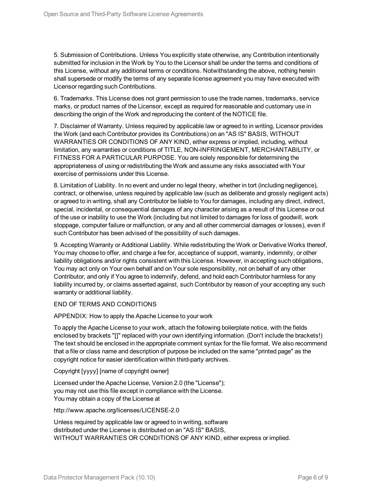5. Submission of Contributions. Unless You explicitly state otherwise, any Contribution intentionally submitted for inclusion in the Work by You to the Licensor shall be under the terms and conditions of this License, without any additional terms or conditions. Notwithstanding the above, nothing herein shall supersede or modify the terms of any separate license agreement you may have executed with Licensor regarding such Contributions.

6. Trademarks. This License does not grant permission to use the trade names, trademarks, service marks, or product names of the Licensor, except as required for reasonable and customary use in describing the origin of the Work and reproducing the content of the NOTICE file.

7. Disclaimer of Warranty. Unless required by applicable law or agreed to in writing, Licensor provides the Work (and each Contributor provides its Contributions) on an "AS IS" BASIS, WITHOUT WARRANTIES OR CONDITIONS OF ANY KIND, either express or implied, including, without limitation, any warranties or conditions of TITLE, NON-INFRINGEMENT, MERCHANTABILITY, or FITNESS FOR A PARTICULAR PURPOSE. You are solely responsible for determining the appropriateness of using or redistributing the Work and assume any risks associated with Your exercise of permissions under this License.

8. Limitation of Liability. In no event and under no legal theory, whether in tort (including negligence), contract, or otherwise, unless required by applicable law (such as deliberate and grossly negligent acts) or agreed to in writing, shall any Contributor be liable to You for damages, including any direct, indirect, special, incidental, or consequential damages of any character arising as a result of this License or out of the use or inability to use the Work (including but not limited to damages for loss of goodwill, work stoppage, computer failure or malfunction, or any and all other commercial damages or losses), even if such Contributor has been advised of the possibility of such damages.

9. Accepting Warranty or Additional Liability. While redistributing the Work or Derivative Works thereof, You may choose to offer, and charge a fee for, acceptance of support, warranty, indemnity, or other liability obligations and/or rights consistent with this License. However, in accepting such obligations, You may act only on Your own behalf and on Your sole responsibility, not on behalf of any other Contributor, and only if You agree to indemnify, defend, and hold each Contributor harmless for any liability incurred by, or claims asserted against, such Contributor by reason of your accepting any such warranty or additional liability.

#### END OF TERMS AND CONDITIONS

APPENDIX: How to apply the Apache License to your work

To apply the Apache License to your work, attach the following boilerplate notice, with the fields enclosed by brackets "[]" replaced with your own identifying information. (Don't include the brackets!) The text should be enclosed in the appropriate comment syntax for the file format. We also recommend that a file or class name and description of purpose be included on the same "printed page" as the copyright notice for easier identification within third-party archives.

#### Copyright [yyyy] [name of copyright owner]

Licensed under the Apache License, Version 2.0 (the "License"); you may not use this file except in compliance with the License. You may obtain a copy of the License at

http://www.apache.org/licenses/LICENSE-2.0

Unless required by applicable law or agreed to in writing, software distributed under the License is distributed on an "AS IS" BASIS, WITHOUT WARRANTIES OR CONDITIONS OF ANY KIND, either express or implied.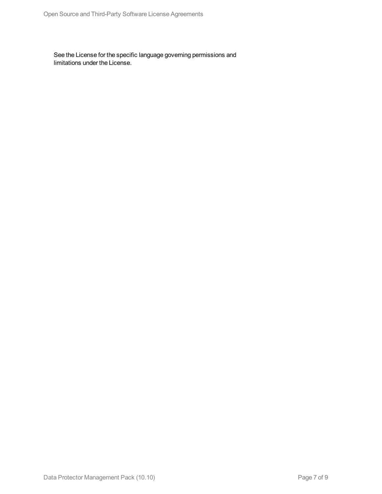See the License for the specific language governing permissions and limitations under the License.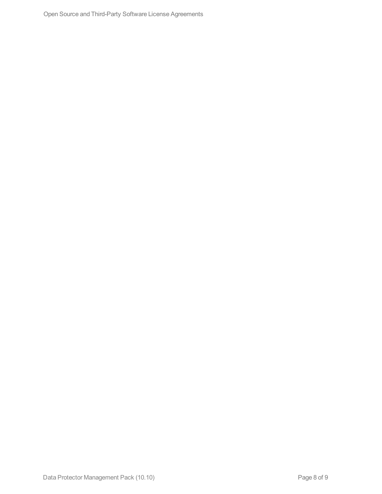Open Source and Third-Party Software License Agreements